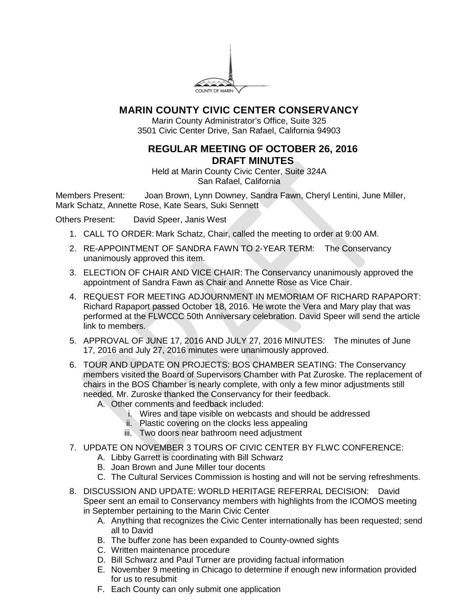

## **MARIN COUNTY CIVIC CENTER CONSERVANCY**

Marin County Administrator's Office, Suite 325 3501 Civic Center Drive, San Rafael, California 94903

## **REGULAR MEETING OF OCTOBER 26, 2016 DRAFT MINUTES**

Held at Marin County Civic Center, Suite 324A San Rafael, California

Members Present: Joan Brown, Lynn Downey, Sandra Fawn, Cheryl Lentini, June Miller, Mark Schatz, Annette Rose, Kate Sears, Suki Sennett

Others Present: David Speer, Janis West

- 1. CALL TO ORDER: Mark Schatz, Chair, called the meeting to order at 9:00 AM.
- 2. RE-APPOINTMENT OF SANDRA FAWN TO 2-YEAR TERM: The Conservancy unanimously approved this item.
- 3. ELECTION OF CHAIR AND VICE CHAIR: The Conservancy unanimously approved the appointment of Sandra Fawn as Chair and Annette Rose as Vice Chair.
- 4. REQUEST FOR MEETING ADJOURNMENT IN MEMORIAM OF RICHARD RAPAPORT: Richard Rapaport passed October 18, 2016. He wrote the Vera and Mary play that was performed at the FLWCCC 50th Anniversary celebration. David Speer will send the article link to members.
- 5. APPROVAL OF JUNE 17, 2016 AND JULY 27, 2016 MINUTES: The minutes of June 17, 2016 and July 27, 2016 minutes were unanimously approved.
- 6. TOUR AND UPDATE ON PROJECTS: BOS CHAMBER SEATING: The Conservancy members visited the Board of Supervisors Chamber with Pat Zuroske. The replacement of chairs in the BOS Chamber is nearly complete, with only a few minor adjustments still needed. Mr. Zuroske thanked the Conservancy for their feedback.
	- A. Other comments and feedback included:
		- i. Wires and tape visible on webcasts and should be addressed
		- ii. Plastic covering on the clocks less appealing
		- iii. Two doors near bathroom need adjustment
- 7. UPDATE ON NOVEMBER 3 TOURS OF CIVIC CENTER BY FLWC CONFERENCE:
	- A. Libby Garrett is coordinating with Bill Schwarz
	- B. Joan Brown and June Miller tour docents
	- C. The Cultural Services Commission is hosting and will not be serving refreshments.
- 8. DISCUSSION AND UPDATE: WORLD HERITAGE REFERRAL DECISION: David Speer sent an email to Conservancy members with highlights from the ICOMOS meeting in September pertaining to the Marin Civic Center
	- A. Anything that recognizes the Civic Center internationally has been requested; send all to David
	- B. The buffer zone has been expanded to County-owned sights
	- C. Written maintenance procedure
	- D. Bill Schwarz and Paul Turner are providing factual information
	- E. November 9 meeting in Chicago to determine if enough new information provided for us to resubmit
	- F. Each County can only submit one application